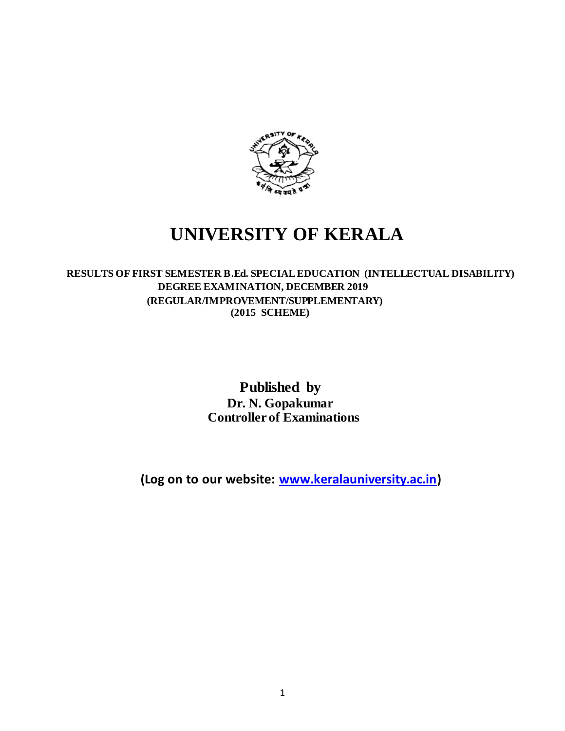

# **UNIVERSITY OF KERALA**

## **RESULTS OF FIRST SEMESTER B.Ed. SPECIAL EDUCATION (INTELLECTUAL DISABILITY) DEGREE EXAMINATION, DECEMBER 2019 (REGULAR/IMPROVEMENT/SUPPLEMENTARY) (2015 SCHEME)**

 **Published by Dr. N. Gopakumar Controller of Examinations**

**(Log on to our website[: www.keralauniversity.ac.in\)](http://www.keralauniversity.ac.in/)**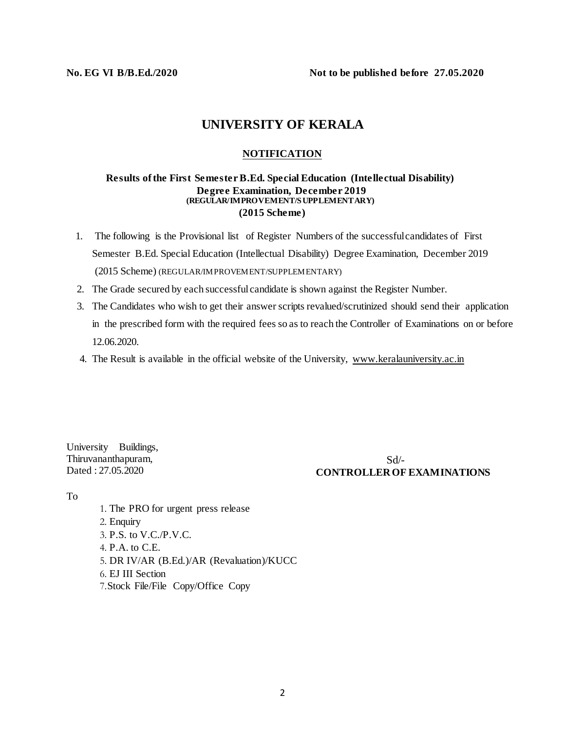**No. EG VI B/B.Ed./2020 Not to be published before 27.05.2020**

## **UNIVERSITY OF KERALA**

### **NOTIFICATION**

#### **Results of the First Semester B.Ed. Special Education (Intellectual Disability) Degree Examination, December 2019 (REGULAR/IMPROVEMENT/SUPPLEMENTARY) (2015 Scheme)**

- 1. The following is the Provisional list of Register Numbers of the successfulcandidates of First Semester B.Ed. Special Education (Intellectual Disability) Degree Examination, December 2019 (2015 Scheme) (REGULAR/IMPROVEMENT/SUPPLEMENTARY)
- 2. The Grade secured by each successful candidate is shown against the Register Number.
- 3. The Candidates who wish to get their answer scripts revalued/scrutinized should send their application in the prescribed form with the required fees so as to reach the Controller of Examinations on or before 12.06.2020.
- 4. The Result is available in the official website of the University, [www.keralauniversity.ac.in](http://www.keralauniversity.ac.in/)

University Buildings, Thiruvananthapuram, Dated : 27.05.2020

Sd/- **CONTROLLER OF EXAMINATIONS**

#### To

1. The PRO for urgent press release 2. Enquiry 3. P.S. to V.C./P.V.C. 4. P.A. to C.E. 5. DR IV/AR (B.Ed.)/AR (Revaluation)/KUCC 6. EJ III Section 7.Stock File/File Copy/Office Copy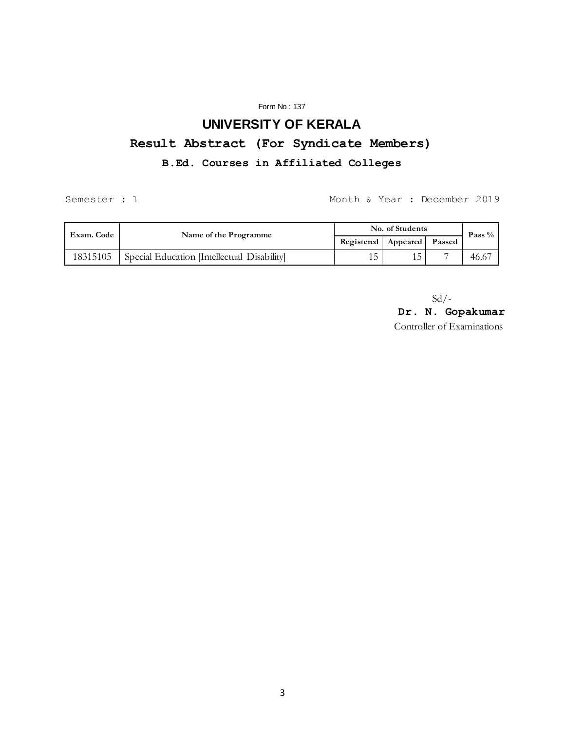#### Form No : 137

# **UNIVERSITY OF KERALA**

# **Result Abstract (For Syndicate Members)**

## **B.Ed. Courses in Affiliated Colleges**

Semester : 1 Month & Year : December 2019

| Exam. Code | Name of the Programme                       | No. of Students |                                |   | Pass $%$ |
|------------|---------------------------------------------|-----------------|--------------------------------|---|----------|
|            |                                             |                 | Registered   Appeared   Passed |   |          |
| 18315105   | Special Education [Intellectual Disability] |                 |                                | - | 46.67    |

 $Sd$  /-

**Dr. N. Gopakumar** Controller of Examinations